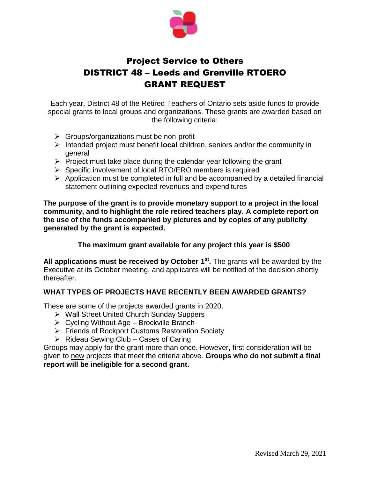

## Project Service to Others DISTRICT 48 – Leeds and Grenville RTOERO GRANT REQUEST

Each year, District 48 of the Retired Teachers of Ontario sets aside funds to provide special grants to local groups and organizations. These grants are awarded based on the following criteria:

- $\triangleright$  Groups/organizations must be non-profit
- Intended project must benefit **local** children, seniors and/or the community in general
- $\triangleright$  Project must take place during the calendar year following the grant
- $\triangleright$  Specific involvement of local RTO/ERO members is required
- $\triangleright$  Application must be completed in full and be accompanied by a detailed financial statement outlining expected revenues and expenditures

**The purpose of the grant is to provide monetary support to a project in the local community, and to highlight the role retired teachers play**. **A complete report on the use of the funds accompanied by pictures and by copies of any publicity generated by the grant is expected.**

## **The maximum grant available for any project this year is \$500**.

All applications must be received by October 1<sup>st</sup>. The grants will be awarded by the Executive at its October meeting, and applicants will be notified of the decision shortly thereafter.

## **WHAT TYPES OF PROJECTS HAVE RECENTLY BEEN AWARDED GRANTS?**

These are some of the projects awarded grants in 2020.

- Wall Street United Church Sunday Suppers
- $\triangleright$  Cycling Without Age Brockville Branch
- Friends of Rockport Customs Restoration Society
- $\triangleright$  Rideau Sewing Club Cases of Caring

Groups may apply for the grant more than once. However, first consideration will be given to new projects that meet the criteria above. **Groups who do not submit a final report will be ineligible for a second grant.**